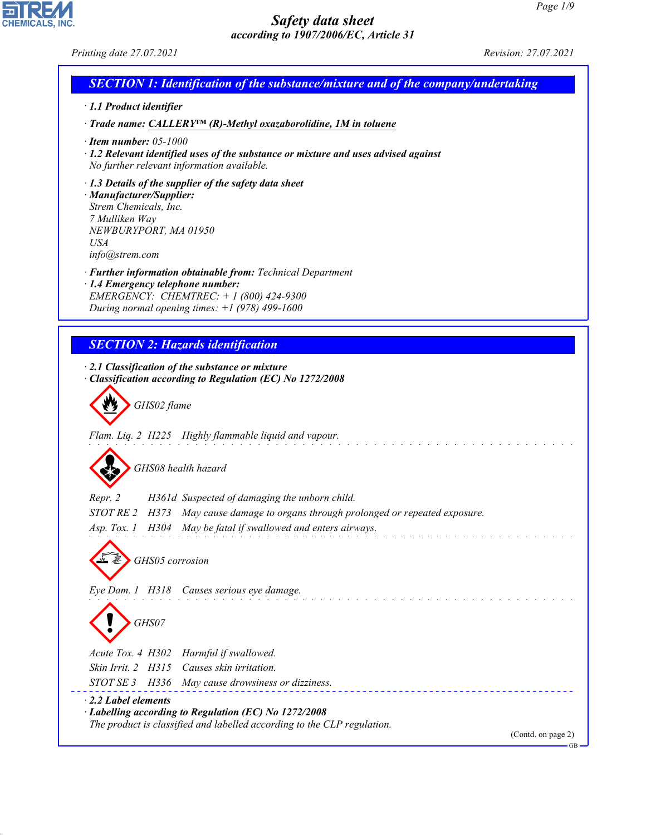*Printing date 27.07.2021 Revision: 27.07.2021*

CHEMICALS, INC.

44.1.1

| <b>SECTION 1: Identification of the substance/mixture and of the company/undertaking</b>                                                                                                            |
|-----------------------------------------------------------------------------------------------------------------------------------------------------------------------------------------------------|
| $\cdot$ 1.1 Product identifier                                                                                                                                                                      |
| $\cdot$ Trade name: CALLERY <sup>IM</sup> (R)-Methyl oxazaborolidine, 1M in toluene                                                                                                                 |
| $\cdot$ Item number: 05-1000<br>$\cdot$ 1.2 Relevant identified uses of the substance or mixture and uses advised against<br>No further relevant information available.                             |
| $\cdot$ 1.3 Details of the supplier of the safety data sheet<br>· Manufacturer/Supplier:<br>Strem Chemicals, Inc.<br>7 Mulliken Way<br>NEWBURYPORT, MA 01950<br><i>USA</i><br>info@strem.com        |
| · Further information obtainable from: Technical Department<br>· 1.4 Emergency telephone number:<br>EMERGENCY: CHEMTREC: $+ 1 (800) 424 - 9300$<br>During normal opening times: $+1$ (978) 499-1600 |
|                                                                                                                                                                                                     |
| <b>SECTION 2: Hazards identification</b>                                                                                                                                                            |
| $\cdot$ 2.1 Classification of the substance or mixture                                                                                                                                              |
| Classification according to Regulation (EC) No 1272/2008                                                                                                                                            |
| GHS02 flame                                                                                                                                                                                         |
| Flam. Liq. 2 H225 Highly flammable liquid and vapour.                                                                                                                                               |
|                                                                                                                                                                                                     |
| GHS08 health hazard                                                                                                                                                                                 |
|                                                                                                                                                                                                     |
| Repr. 2<br>H361d Suspected of damaging the unborn child.                                                                                                                                            |
| H373 May cause damage to organs through prolonged or repeated exposure.<br><i>STOT RE 2</i>                                                                                                         |
| May be fatal if swallowed and enters airways.<br>Asp. Tox. 1 H304                                                                                                                                   |
|                                                                                                                                                                                                     |
| GHS05 corrosion                                                                                                                                                                                     |
|                                                                                                                                                                                                     |
| Eye Dam. 1 H318 Causes serious eye damage.                                                                                                                                                          |
| GHS07                                                                                                                                                                                               |
| Acute Tox. 4 H302<br>Harmful if swallowed.                                                                                                                                                          |
| Causes skin irritation.<br>Skin Irrit. 2 H315                                                                                                                                                       |
| STOT SE 3<br>H336 May cause drowsiness or dizziness.                                                                                                                                                |
| $\cdot$ 2.2 Label elements                                                                                                                                                                          |
| $\cdot$ Labelling according to Regulation (EC) No 1272/2008                                                                                                                                         |
| The product is classified and labelled according to the CLP regulation.<br>(Contd. on page 2)                                                                                                       |
|                                                                                                                                                                                                     |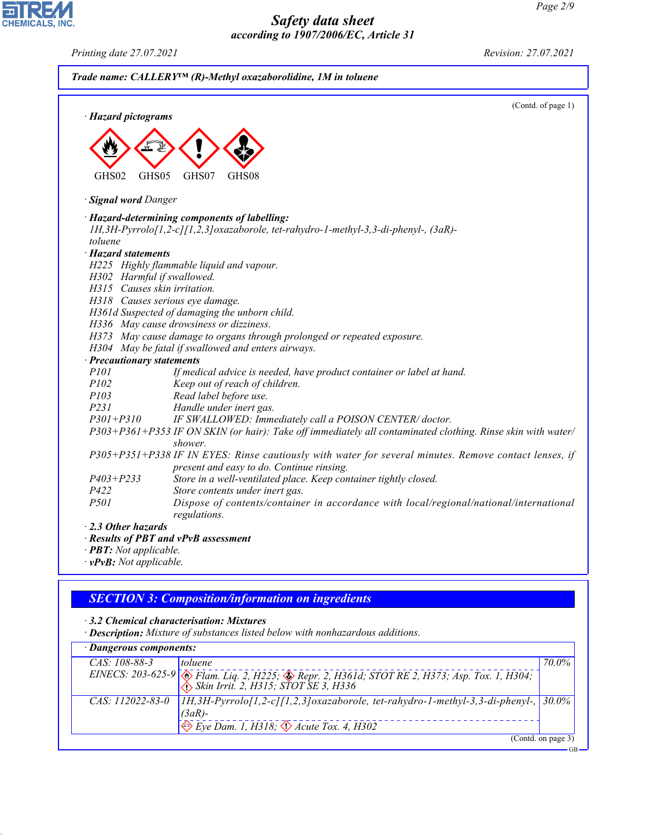*· Hazard pictograms* < GHS02 de 19 GHS05  $\langle \cdot \rangle$ GHS07  $\Leftrightarrow$ GHS08 *· Signal word Danger · Hazard-determining components of labelling: 1H,3H-Pyrrolo[1,2-c][1,2,3]oxazaborole, tet-rahydro-1-methyl-3,3-di-phenyl-, (3aR) toluene · Hazard statements H225 Highly flammable liquid and vapour. H302 Harmful if swallowed. H315 Causes skin irritation. H318 Causes serious eye damage. H361d Suspected of damaging the unborn child. H336 May cause drowsiness or dizziness. H373 May cause damage to organs through prolonged or repeated exposure. H304 May be fatal if swallowed and enters airways. · Precautionary statements P101 If medical advice is needed, have product container or label at hand. P102 Keep out of reach of children. P103 Read label before use. P231 Handle under inert gas. P301+P310 IF SWALLOWED: Immediately call a POISON CENTER/ doctor. P303+P361+P353 IF ON SKIN (or hair): Take off immediately all contaminated clothing. Rinse skin with water/ shower. P305+P351+P338 IF IN EYES: Rinse cautiously with water for several minutes. Remove contact lenses, if present and easy to do. Continue rinsing. P403+P233 Store in a well-ventilated place. Keep container tightly closed. P422 Store contents under inert gas. P501 Dispose of contents/container in accordance with local/regional/national/international*

*Trade name: CALLERY™ (R)-Methyl oxazaborolidine, 1M in toluene*

*· 2.3 Other hazards*

*· Results of PBT and vPvB assessment*

*regulations.*

- *· PBT: Not applicable.*
- *· vPvB: Not applicable.*

44.1.1

## *SECTION 3: Composition/information on ingredients*

*· 3.2 Chemical characterisation: Mixtures*

*· Description: Mixture of substances listed below with nonhazardous additions.*

| · Dangerous components: |                                                                                                                                                                                                     |                    |
|-------------------------|-----------------------------------------------------------------------------------------------------------------------------------------------------------------------------------------------------|--------------------|
| $CAS. 108-88-3$         | <i>toluene</i>                                                                                                                                                                                      | 70.0%              |
|                         | EINECS: 203-625-9<br><i>A Flam. Liq. 2, H225; A Repr. 2, H361d; STOT RE 2, H373; Asp. Tox. 1, H304;</i> $\left[\left\langle \right\rangle \right]$<br><i>A Skin Irrit. 2, H315; STOT SE 3, H336</i> |                    |
|                         | CAS: 112022-83-0   IH, 3H-Pyrrolo[1,2-c][1,2,3] oxazaborole, tet-rahydro-1-methyl-3,3-di-phenyl-, 30.0%<br>$(3aR)$ -                                                                                |                    |
|                         | $\Leftrightarrow$ Eye Dam. 1, H318; $\Leftrightarrow$ Acute Tox. 4, H302                                                                                                                            |                    |
|                         |                                                                                                                                                                                                     | (Contd. on page 3) |



*Printing date 27.07.2021 Revision: 27.07.2021*

(Contd. of page 1)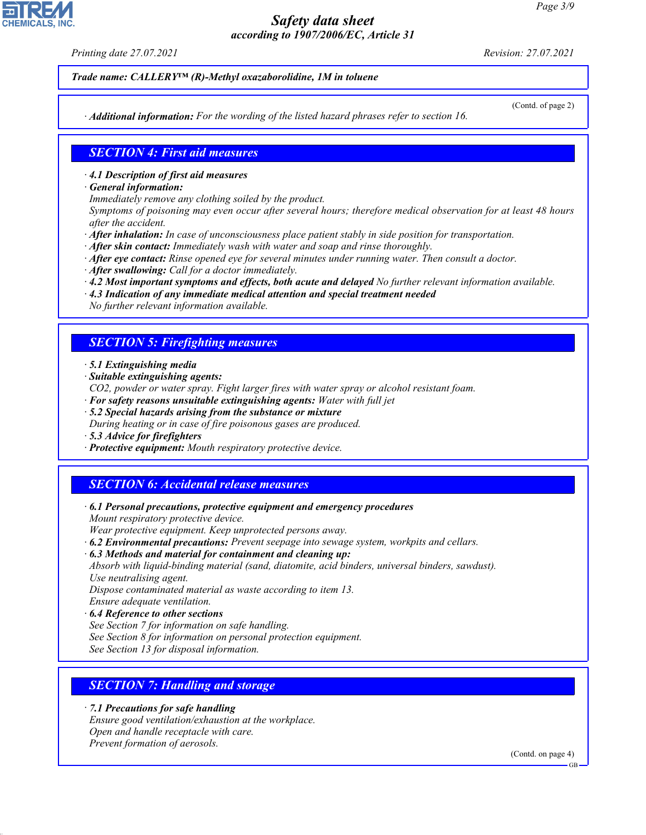*Printing date 27.07.2021 Revision: 27.07.2021*

*Trade name: CALLERY™ (R)-Methyl oxazaborolidine, 1M in toluene*

(Contd. of page 2)

*· Additional information: For the wording of the listed hazard phrases refer to section 16.*

### *SECTION 4: First aid measures*

- *· 4.1 Description of first aid measures*
- *· General information:*
- *Immediately remove any clothing soiled by the product.*

*Symptoms of poisoning may even occur after several hours; therefore medical observation for at least 48 hours after the accident.*

- *· After inhalation: In case of unconsciousness place patient stably in side position for transportation.*
- *· After skin contact: Immediately wash with water and soap and rinse thoroughly.*
- *· After eye contact: Rinse opened eye for several minutes under running water. Then consult a doctor.*
- *· After swallowing: Call for a doctor immediately.*
- *· 4.2 Most important symptoms and effects, both acute and delayed No further relevant information available.*
- *· 4.3 Indication of any immediate medical attention and special treatment needed No further relevant information available.*
- *SECTION 5: Firefighting measures*
- *· 5.1 Extinguishing media*
- *· Suitable extinguishing agents:*
- *CO2, powder or water spray. Fight larger fires with water spray or alcohol resistant foam.*
- *· For safety reasons unsuitable extinguishing agents: Water with full jet*
- *· 5.2 Special hazards arising from the substance or mixture During heating or in case of fire poisonous gases are produced.*
- *· 5.3 Advice for firefighters*
- *· Protective equipment: Mouth respiratory protective device.*

# *SECTION 6: Accidental release measures*

*· 6.1 Personal precautions, protective equipment and emergency procedures Mount respiratory protective device.*

*Wear protective equipment. Keep unprotected persons away.*

*· 6.2 Environmental precautions: Prevent seepage into sewage system, workpits and cellars.*

*· 6.3 Methods and material for containment and cleaning up:*

*Absorb with liquid-binding material (sand, diatomite, acid binders, universal binders, sawdust). Use neutralising agent.*

*Dispose contaminated material as waste according to item 13.*

*Ensure adequate ventilation.*

44.1.1

- *· 6.4 Reference to other sections*
- *See Section 7 for information on safe handling.*
- *See Section 8 for information on personal protection equipment.*

*See Section 13 for disposal information.*

## *SECTION 7: Handling and storage*

*· 7.1 Precautions for safe handling Ensure good ventilation/exhaustion at the workplace. Open and handle receptacle with care. Prevent formation of aerosols.*

(Contd. on page 4)

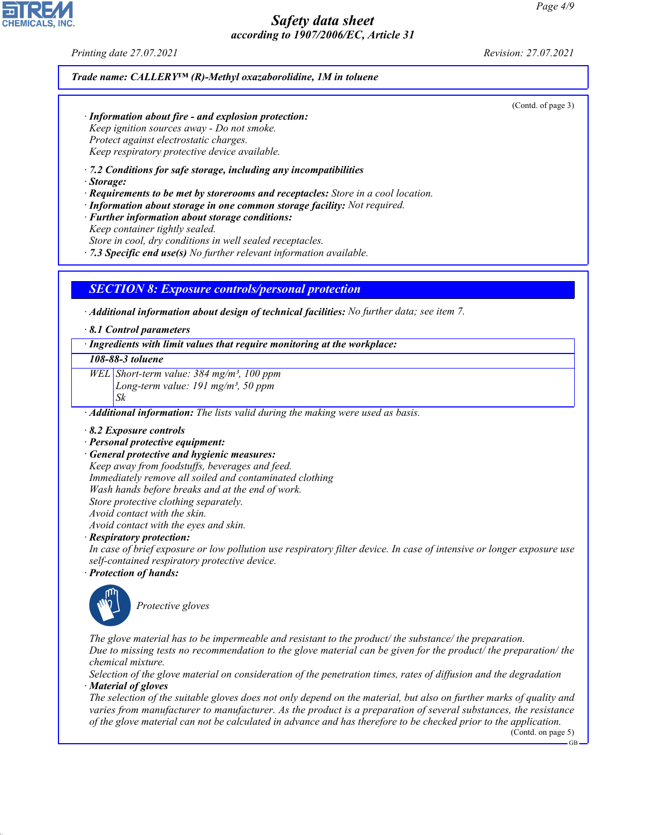*Printing date 27.07.2021 Revision: 27.07.2021*

*Trade name: CALLERY™ (R)-Methyl oxazaborolidine, 1M in toluene*

(Contd. of page 3)

*· Information about fire - and explosion protection: Keep ignition sources away - Do not smoke. Protect against electrostatic charges. Keep respiratory protective device available.*

*· 7.2 Conditions for safe storage, including any incompatibilities*

*· Storage:*

*· Requirements to be met by storerooms and receptacles: Store in a cool location.*

*· Information about storage in one common storage facility: Not required.*

- *· Further information about storage conditions: Keep container tightly sealed. Store in cool, dry conditions in well sealed receptacles.*
- *· 7.3 Specific end use(s) No further relevant information available.*

### *SECTION 8: Exposure controls/personal protection*

*· Additional information about design of technical facilities: No further data; see item 7.*

*· 8.1 Control parameters*

### *· Ingredients with limit values that require monitoring at the workplace:*

### *108-88-3 toluene*

*WEL Short-term value: 384 mg/m³, 100 ppm Long-term value: 191 mg/m³, 50 ppm*

*Sk*

*· Additional information: The lists valid during the making were used as basis.*

- *· 8.2 Exposure controls*
- *· Personal protective equipment:*
- *· General protective and hygienic measures:*

*Keep away from foodstuffs, beverages and feed. Immediately remove all soiled and contaminated clothing Wash hands before breaks and at the end of work. Store protective clothing separately. Avoid contact with the skin. Avoid contact with the eyes and skin.*

### *· Respiratory protection:*

*In case of brief exposure or low pollution use respiratory filter device. In case of intensive or longer exposure use self-contained respiratory protective device.*

*· Protection of hands:*



44.1.1

\_S*Protective gloves*

*The glove material has to be impermeable and resistant to the product/ the substance/ the preparation. Due to missing tests no recommendation to the glove material can be given for the product/ the preparation/ the chemical mixture.*

*Selection of the glove material on consideration of the penetration times, rates of diffusion and the degradation · Material of gloves*

*The selection of the suitable gloves does not only depend on the material, but also on further marks of quality and varies from manufacturer to manufacturer. As the product is a preparation of several substances, the resistance of the glove material can not be calculated in advance and has therefore to be checked prior to the application.*

(Contd. on page 5)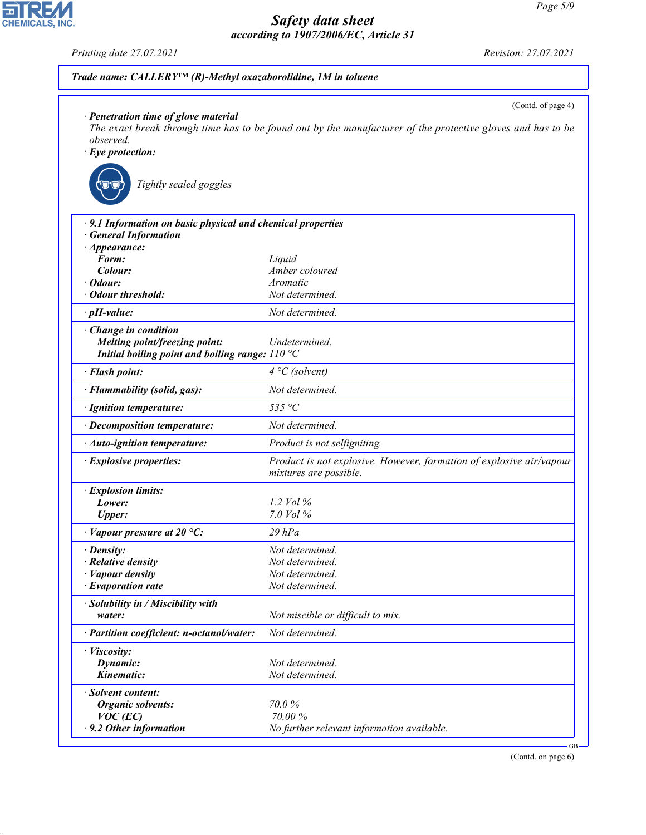*Printing date 27.07.2021 Revision: 27.07.2021*

**EDIREAL** 

44.1.1

| Trade name: CALLERY <sup>IM</sup> (R)-Methyl oxazaborolidine, 1M in toluene                                         |                                                                                                                                   |
|---------------------------------------------------------------------------------------------------------------------|-----------------------------------------------------------------------------------------------------------------------------------|
| $\cdot$ Penetration time of glove material<br><i>observed.</i><br>$\cdot$ Eye protection:<br>Tightly sealed goggles | (Contd. of page 4)<br>The exact break through time has to be found out by the manufacturer of the protective gloves and has to be |
| $\cdot$ 9.1 Information on basic physical and chemical properties                                                   |                                                                                                                                   |
| <b>General Information</b>                                                                                          |                                                                                                                                   |
| $\cdot$ Appearance:                                                                                                 |                                                                                                                                   |
| Form:                                                                                                               | Liquid                                                                                                                            |
| Colour:                                                                                                             | Amber coloured                                                                                                                    |
| Odour:<br><b>Odour threshold:</b>                                                                                   | Aromatic                                                                                                                          |
|                                                                                                                     | Not determined.                                                                                                                   |
| $\cdot$ pH-value:                                                                                                   | Not determined.                                                                                                                   |
| Change in condition<br>Melting point/freezing point:<br>Initial boiling point and boiling range: $110^{\circ}$ C    | Undetermined.                                                                                                                     |
| · Flash point:                                                                                                      | $4 °C$ (solvent)                                                                                                                  |
| · Flammability (solid, gas):                                                                                        | Not determined.                                                                                                                   |
| · Ignition temperature:                                                                                             | 535 °C                                                                                                                            |
| · Decomposition temperature:                                                                                        | Not determined.                                                                                                                   |
| · Auto-ignition temperature:                                                                                        | Product is not selfigniting.                                                                                                      |
| · Explosive properties:                                                                                             | Product is not explosive. However, formation of explosive air/vapour<br>mixtures are possible.                                    |
| · Explosion limits:                                                                                                 |                                                                                                                                   |
| Lower:                                                                                                              | 1.2 $Vol\%$                                                                                                                       |
| <b>Upper:</b>                                                                                                       | 7.0 Vol %                                                                                                                         |
| $\cdot$ Vapour pressure at 20 °C:                                                                                   | $29$ $hPa$                                                                                                                        |
| · Density:                                                                                                          | Not determined.                                                                                                                   |
| · Relative density                                                                                                  | Not determined.                                                                                                                   |
| · Vapour density                                                                                                    | Not determined.                                                                                                                   |
| · Evaporation rate                                                                                                  | Not determined.                                                                                                                   |
| · Solubility in / Miscibility with                                                                                  |                                                                                                                                   |
| water:                                                                                                              | Not miscible or difficult to mix.                                                                                                 |
| · Partition coefficient: n-octanol/water:                                                                           | Not determined.                                                                                                                   |
| · Viscosity:                                                                                                        |                                                                                                                                   |
| Dynamic:                                                                                                            | Not determined.                                                                                                                   |
| Kinematic:                                                                                                          | Not determined.                                                                                                                   |
| · Solvent content:                                                                                                  |                                                                                                                                   |
| <b>Organic solvents:</b>                                                                                            | 70.0%                                                                                                                             |
| $VOC$ (EC)                                                                                                          | 70.00%                                                                                                                            |
| · 9.2 Other information                                                                                             | No further relevant information available.                                                                                        |

(Contd. on page 6)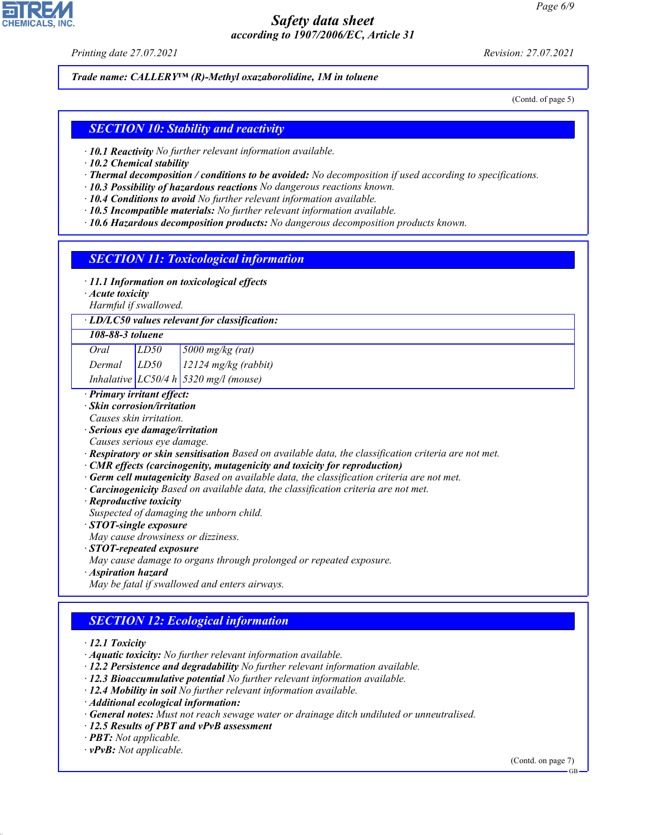*Printing date 27.07.2021 Revision: 27.07.2021*

*Trade name: CALLERY™ (R)-Methyl oxazaborolidine, 1M in toluene*

(Contd. of page 5)

### *SECTION 10: Stability and reactivity*

- *· 10.1 Reactivity No further relevant information available.*
- *· 10.2 Chemical stability*
- *· Thermal decomposition / conditions to be avoided: No decomposition if used according to specifications.*
- *· 10.3 Possibility of hazardous reactions No dangerous reactions known.*
- *· 10.4 Conditions to avoid No further relevant information available.*
- *· 10.5 Incompatible materials: No further relevant information available.*
- *· 10.6 Hazardous decomposition products: No dangerous decomposition products known.*

### *SECTION 11: Toxicological information*

- *· 11.1 Information on toxicological effects*
- *· Acute toxicity*

*Harmful if swallowed.*

### *· LD/LC50 values relevant for classification:*

### *108-88-3 toluene*

| Oral   | LD50 | $\frac{5000 \text{ mg/kg}}{(\text{rat})}$    |
|--------|------|----------------------------------------------|
| Dermal | LD50 | $12124$ mg/kg (rabbit)                       |
|        |      | Inhalative $LC50/4 h \sin 5320$ mg/l (mouse) |

### *· Primary irritant effect:*

*· Skin corrosion/irritation*

*Causes skin irritation.*

- *· Serious eye damage/irritation*
- *Causes serious eye damage.*
- *· Respiratory or skin sensitisation Based on available data, the classification criteria are not met.*
- *· CMR effects (carcinogenity, mutagenicity and toxicity for reproduction)*
- *· Germ cell mutagenicity Based on available data, the classification criteria are not met.*
- *· Carcinogenicity Based on available data, the classification criteria are not met.*
- *· Reproductive toxicity*
- *Suspected of damaging the unborn child.*
- *· STOT-single exposure*
- *May cause drowsiness or dizziness.*
- *· STOT-repeated exposure*
- *May cause damage to organs through prolonged or repeated exposure.*
- *· Aspiration hazard*
- *May be fatal if swallowed and enters airways.*

## *SECTION 12: Ecological information*

*· 12.1 Toxicity*

- *· Aquatic toxicity: No further relevant information available.*
- *· 12.2 Persistence and degradability No further relevant information available.*
- *· 12.3 Bioaccumulative potential No further relevant information available.*
- *· 12.4 Mobility in soil No further relevant information available.*
- *· Additional ecological information:*
- *· General notes: Must not reach sewage water or drainage ditch undiluted or unneutralised.*
- *· 12.5 Results of PBT and vPvB assessment*
- *· PBT: Not applicable.*
- *· vPvB: Not applicable.*

44.1.1

(Contd. on page 7)



GB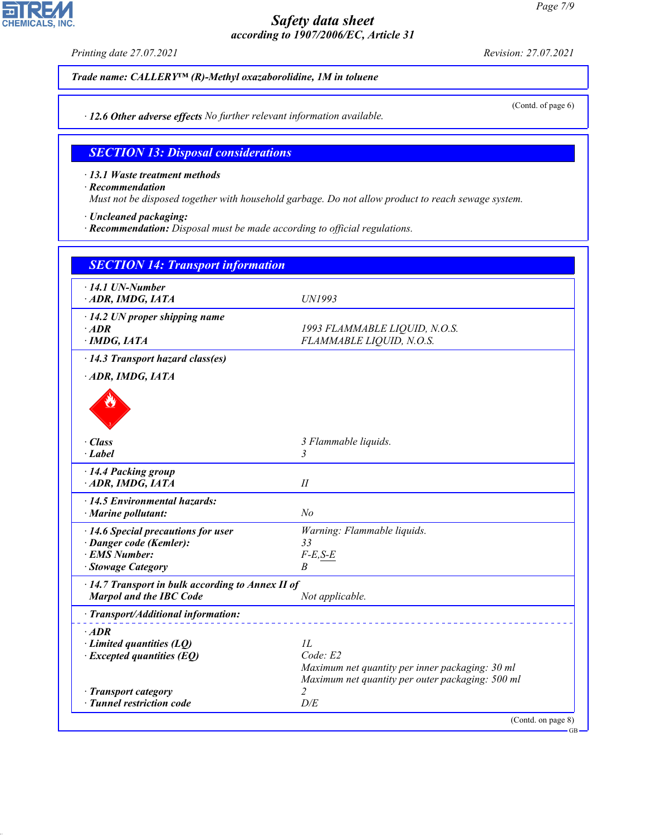*Printing date 27.07.2021 Revision: 27.07.2021*

 $\overline{\phantom{a}}$ 

**CHEMICALS, INC.** 

(Contd. of page 6)

*Trade name: CALLERY™ (R)-Methyl oxazaborolidine, 1M in toluene*

*· 12.6 Other adverse effects No further relevant information available.*

### *SECTION 13: Disposal considerations*

*· 13.1 Waste treatment methods*

*· Recommendation*

44.1.1

*Must not be disposed together with household garbage. Do not allow product to reach sewage system.*

*· Uncleaned packaging:*

*· Recommendation: Disposal must be made according to official regulations.*

| <b>SECTION 14: Transport information</b>                                                              |                                                                           |
|-------------------------------------------------------------------------------------------------------|---------------------------------------------------------------------------|
| $\cdot$ 14.1 UN-Number<br>ADR, IMDG, IATA                                                             | UN1993                                                                    |
| $\cdot$ 14.2 UN proper shipping name<br>$\cdot$ ADR<br>$\cdot$ IMDG, IATA                             | 1993 FLAMMABLE LIQUID, N.O.S.<br>FLAMMABLE LIQUID, N.O.S.                 |
| $\cdot$ 14.3 Transport hazard class(es)                                                               |                                                                           |
| ADR, IMDG, IATA                                                                                       |                                                                           |
| · Class<br>$\cdot$ Label                                                                              | 3 Flammable liquids.<br>3                                                 |
| · 14.4 Packing group<br>ADR, IMDG, IATA                                                               | I                                                                         |
| $\cdot$ 14.5 Environmental hazards:<br>$\cdot$ Marine pollutant:                                      | N <sub>o</sub>                                                            |
| · 14.6 Special precautions for user<br>· Danger code (Kemler):<br>· EMS Number:<br>· Stowage Category | Warning: Flammable liquids.<br>33<br>$F-E,S-E$<br>B                       |
| · 14.7 Transport in bulk according to Annex II of<br><b>Marpol and the IBC Code</b>                   | Not applicable.                                                           |
| · Transport/Additional information:                                                                   |                                                                           |
| $·$ <i>ADR</i><br>$\cdot$ Limited quantities (LQ)<br>$\cdot$ Excepted quantities (EQ)                 | IL<br>Code: E2<br>Maximum net quantity per inner packaging: 30 ml         |
| · Transport category<br>· Tunnel restriction code                                                     | Maximum net quantity per outer packaging: 500 ml<br>$\mathfrak{D}$<br>D/E |
|                                                                                                       | (Contd. on page 8)                                                        |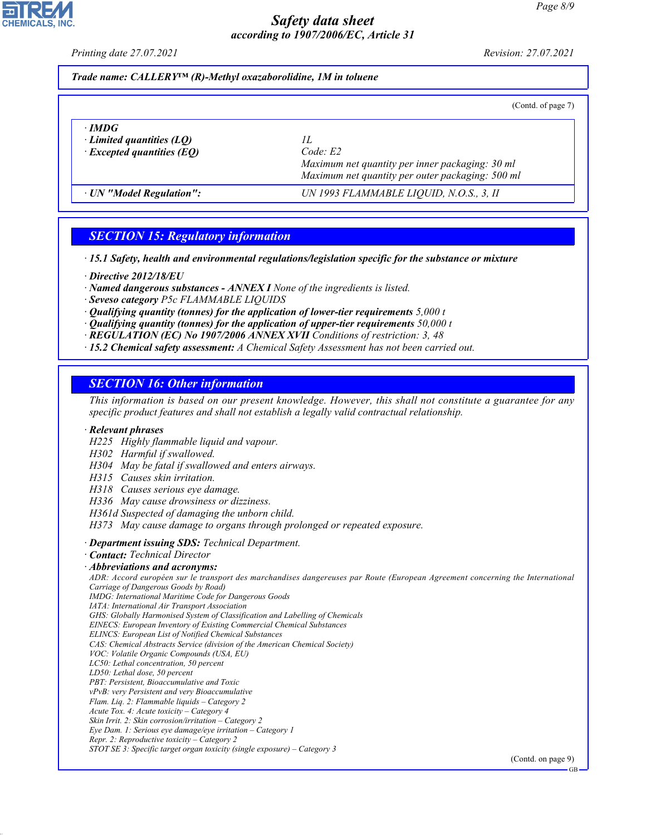*Printing date 27.07.2021 Revision: 27.07.2021*

### *Trade name: CALLERY™ (R)-Methyl oxazaborolidine, 1M in toluene*

| (Contd. of page 7) |  |  |
|--------------------|--|--|
|                    |  |  |

| $\cdot$ IMDG<br>$\cdot$ Limited quantities (LQ)<br>$\cdot$ Excepted quantities (EQ) | Code E2<br>Maximum net quantity per inner packaging: 30 ml<br>Maximum net quantity per outer packaging: 500 ml |  |
|-------------------------------------------------------------------------------------|----------------------------------------------------------------------------------------------------------------|--|
| · UN "Model Regulation":                                                            | UN 1993 FLAMMABLE LIQUID, N.O.S., 3, II                                                                        |  |

# *SECTION 15: Regulatory information*

*· 15.1 Safety, health and environmental regulations/legislation specific for the substance or mixture*

- *· Directive 2012/18/EU*
- *· Named dangerous substances ANNEX I None of the ingredients is listed.*
- *· Seveso category P5c FLAMMABLE LIQUIDS*
- *· Qualifying quantity (tonnes) for the application of lower-tier requirements 5,000 t*
- *· Qualifying quantity (tonnes) for the application of upper-tier requirements 50,000 t*
- *· REGULATION (EC) No 1907/2006 ANNEX XVII Conditions of restriction: 3, 48*
- *· 15.2 Chemical safety assessment: A Chemical Safety Assessment has not been carried out.*

### *SECTION 16: Other information*

*This information is based on our present knowledge. However, this shall not constitute a guarantee for any specific product features and shall not establish a legally valid contractual relationship.*

#### *· Relevant phrases*

- *H225 Highly flammable liquid and vapour.*
- *H302 Harmful if swallowed.*
- *H304 May be fatal if swallowed and enters airways.*
- *H315 Causes skin irritation.*
- *H318 Causes serious eye damage.*
- *H336 May cause drowsiness or dizziness.*
- *H361d Suspected of damaging the unborn child.*
- *H373 May cause damage to organs through prolonged or repeated exposure.*
- *· Department issuing SDS: Technical Department.*
- *· Contact: Technical Director*
- *· Abbreviations and acronyms:*

*ADR: Accord européen sur le transport des marchandises dangereuses par Route (European Agreement concerning the International Carriage of Dangerous Goods by Road)*

- *IMDG: International Maritime Code for Dangerous Goods*
- *IATA: International Air Transport Association*
- *GHS: Globally Harmonised System of Classification and Labelling of Chemicals*
- *EINECS: European Inventory of Existing Commercial Chemical Substances*
- *ELINCS: European List of Notified Chemical Substances*
- *CAS: Chemical Abstracts Service (division of the American Chemical Society)*
- *VOC: Volatile Organic Compounds (USA, EU)*
- *LC50: Lethal concentration, 50 percent*
- *LD50: Lethal dose, 50 percent*

44.1.1

- *PBT: Persistent, Bioaccumulative and Toxic vPvB: very Persistent and very Bioaccumulative*
- *Flam. Liq. 2: Flammable liquids Category 2*
- *Acute Tox. 4: Acute toxicity Category 4*
- *Skin Irrit. 2: Skin corrosion/irritation Category 2*
- *Eye Dam. 1: Serious eye damage/eye irritation Category 1*
- *Repr. 2: Reproductive toxicity Category 2*
- *STOT SE 3: Specific target organ toxicity (single exposure) Category 3*

(Contd. on page 9)